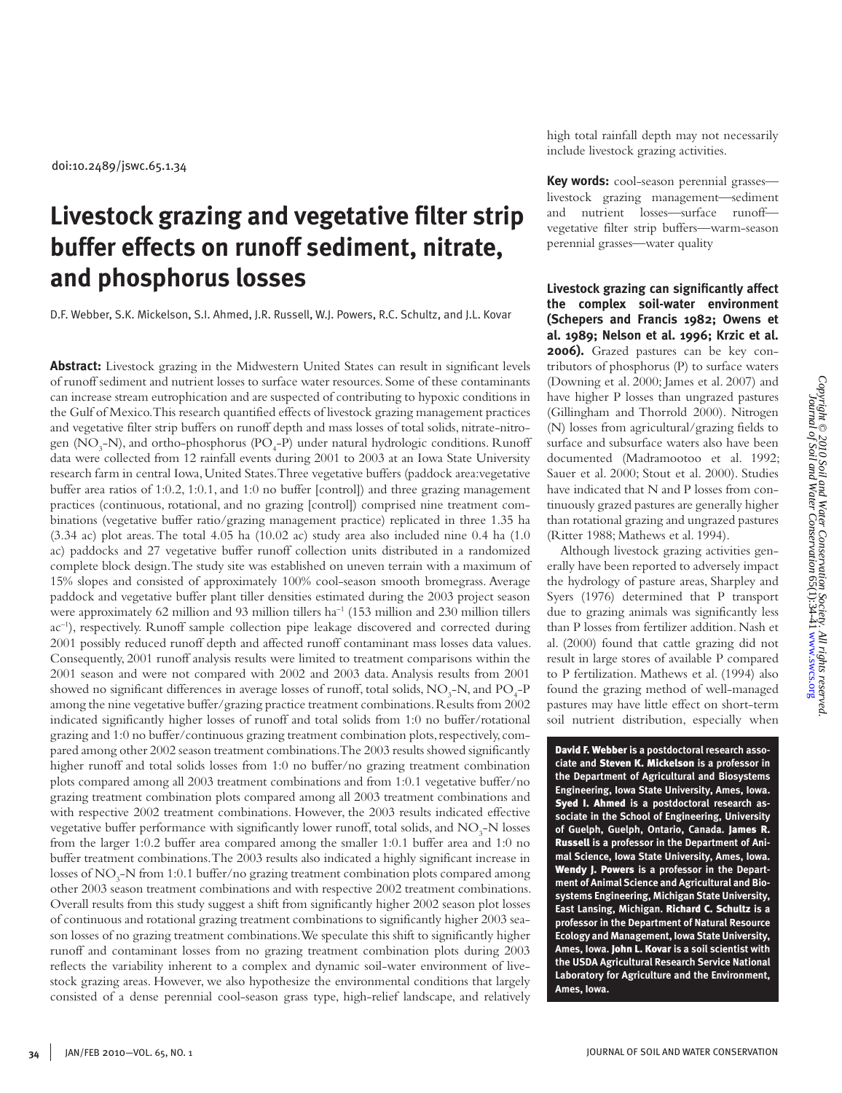# **Livestock grazing and vegetative filter strip buffer effects on runoff sediment, nitrate, and phosphorus losses**

D.F. Webber, S.K. Mickelson, S.I. Ahmed, J.R. Russell, W.J. Powers, R.C. Schultz, and J.L. Kovar

**Abstract:** Livestock grazing in the Midwestern United States can result in significant levels of runoff sediment and nutrient losses to surface water resources. Some of these contaminants can increase stream eutrophication and are suspected of contributing to hypoxic conditions in the Gulf of Mexico. This research quantified effects of livestock grazing management practices and vegetative filter strip buffers on runoff depth and mass losses of total solids, nitrate-nitrogen (NO<sub>3</sub>-N), and ortho-phosphorus (PO<sub>4</sub>-P) under natural hydrologic conditions. Runoff data were collected from 12 rainfall events during 2001 to 2003 at an Iowa State University research farm in central Iowa, United States. Three vegetative buffers (paddock area:vegetative buffer area ratios of 1:0.2, 1:0.1, and 1:0 no buffer [control]) and three grazing management practices (continuous, rotational, and no grazing [control]) comprised nine treatment combinations (vegetative buffer ratio/grazing management practice) replicated in three 1.35 ha  $(3.34 \text{ ac})$  plot areas. The total 4.05 ha  $(10.02 \text{ ac})$  study area also included nine 0.4 ha  $(1.0 \text{ s})$ ac) paddocks and 27 vegetative buffer runoff collection units distributed in a randomized complete block design. The study site was established on uneven terrain with a maximum of 15% slopes and consisted of approximately 100% cool-season smooth bromegrass. Average paddock and vegetative buffer plant tiller densities estimated during the 2003 project season were approximately 62 million and 93 million tillers ha<sup>-1</sup> (153 million and 230 million tillers ac<sup>-1</sup>), respectively. Runoff sample collection pipe leakage discovered and corrected during 2001 possibly reduced runoff depth and affected runoff contaminant mass losses data values. Consequently, 2001 runoff analysis results were limited to treatment comparisons within the 2001 season and were not compared with 2002 and 2003 data. Analysis results from 2001 showed no significant differences in average losses of runoff, total solids,  $\rm NO_3\text{-}N,$  and  $\rm PO_4\text{-}P$ among the nine vegetative buffer/grazing practice treatment combinations. Results from 2002 indicated significantly higher losses of runoff and total solids from 1:0 no buffer/rotational grazing and 1:0 no buffer/continuous grazing treatment combination plots, respectively, compared among other 2002 season treatment combinations. The 2003 results showed significantly higher runoff and total solids losses from 1:0 no buffer/no grazing treatment combination plots compared among all 2003 treatment combinations and from 1:0.1 vegetative buffer/no grazing treatment combination plots compared among all 2003 treatment combinations and with respective 2002 treatment combinations. However, the 2003 results indicated effective vegetative buffer performance with significantly lower runoff, total solids, and  $\rm NO_3\text{-}N$  losses from the larger 1:0.2 buffer area compared among the smaller 1:0.1 buffer area and 1:0 no buffer treatment combinations. The 2003 results also indicated a highly significant increase in losses of  $\rm NO_3\text{-}N$  from 1:0.1 buffer/no grazing treatment combination plots compared among other 2003 season treatment combinations and with respective 2002 treatment combinations. Overall results from this study suggest a shift from significantly higher 2002 season plot losses of continuous and rotational grazing treatment combinations to significantly higher 2003 season losses of no grazing treatment combinations. We speculate this shift to significantly higher runoff and contaminant losses from no grazing treatment combination plots during 2003 reflects the variability inherent to a complex and dynamic soil-water environment of livestock grazing areas. However, we also hypothesize the environmental conditions that largely consisted of a dense perennial cool-season grass type, high-relief landscape, and relatively

high total rainfall depth may not necessarily include livestock grazing activities.

**Key words:** cool-season perennial grasses livestock grazing management—sediment and nutrient losses—surface runoff vegetative filter strip buffers—warm-season perennial grasses—water quality

**Livestock grazing can significantly affect the complex soil-water environment (Schepers and Francis 1982; Owens et al. 1989; Nelson et al. 1996; Krzic et al. 2006).** Grazed pastures can be key contributors of phosphorus (P) to surface waters (Downing et al. 2000; James et al. 2007) and have higher P losses than ungrazed pastures (Gillingham and Thorrold 2000). Nitrogen (N) losses from agricultural/grazing fields to surface and subsurface waters also have been documented (Madramootoo et al. 1992; Sauer et al. 2000; Stout et al. 2000). Studies have indicated that N and P losses from continuously grazed pastures are generally higher than rotational grazing and ungrazed pastures (Ritter 1988; Mathews et al. 1994).

Although livestock grazing activities generally have been reported to adversely impact the hydrology of pasture areas, Sharpley and Syers (1976) determined that P transport due to grazing animals was significantly less than P losses from fertilizer addition. Nash et al. (2000) found that cattle grazing did not result in large stores of available P compared to P fertilization. Mathews et al. (1994) also found the grazing method of well-managed pastures may have little effect on short-term soil nutrient distribution, especially when

David F. Webber **is a postdoctoral research associate and** Steven K. Mickelson **is a professor in the Department of Agricultural and Biosystems Engineering, Iowa State University, Ames, Iowa.**  Syed I. Ahmed **is a postdoctoral research associate in the School of Engineering, University of Guelph, Guelph, Ontario, Canada.** James R. Russell **is a professor in the Department of Animal Science, Iowa State University, Ames, Iowa.**  Wendy J. Powers **is a professor in the Department of Animal Science and Agricultural and Biosystems Engineering, Michigan State University, East Lansing, Michigan.** Richard C. Schultz **is a professor in the Department of Natural Resource Ecology and Management, Iowa State University, Ames, Iowa.** John L. Kovar **is a soil scientist with the USDA Agricultural Research Service National Laboratory for Agriculture and the Environment, Ames, Iowa.**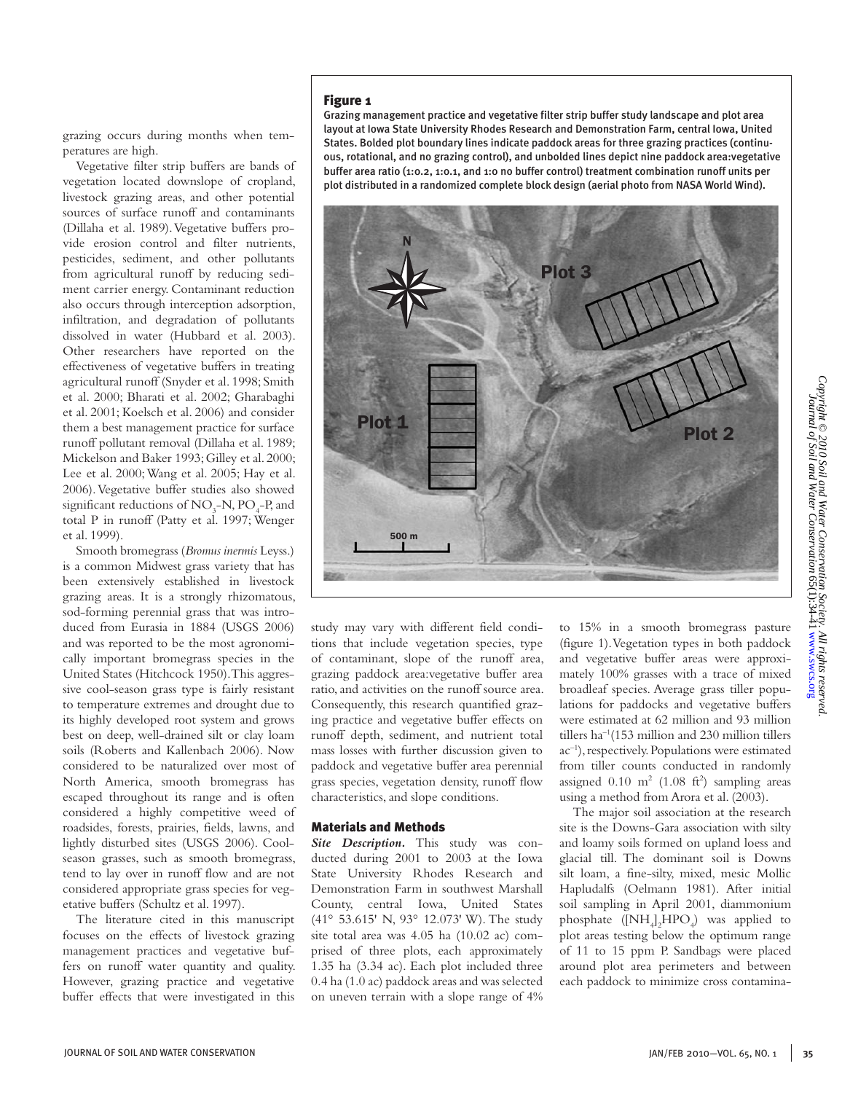# Figure 1

grazing occurs during months when temperatures are high.

Vegetative filter strip buffers are bands of vegetation located downslope of cropland, livestock grazing areas, and other potential sources of surface runoff and contaminants (Dillaha et al. 1989). Vegetative buffers provide erosion control and filter nutrients, pesticides, sediment, and other pollutants from agricultural runoff by reducing sediment carrier energy. Contaminant reduction also occurs through interception adsorption, infiltration, and degradation of pollutants dissolved in water (Hubbard et al. 2003). Other researchers have reported on the effectiveness of vegetative buffers in treating agricultural runoff (Snyder et al. 1998; Smith et al. 2000; Bharati et al. 2002; Gharabaghi et al. 2001; Koelsch et al. 2006) and consider them a best management practice for surface runoff pollutant removal (Dillaha et al. 1989; Mickelson and Baker 1993; Gilley et al. 2000; Lee et al. 2000; Wang et al. 2005; Hay et al. 2006). Vegetative buffer studies also showed significant reductions of  $NO_3$ - $N$ ,  $PO_4$ - $P$ , and total P in runoff (Patty et al. 1997; Wenger et al. 1999).

Smooth bromegrass (*Bromus inermis* Leyss.) is a common Midwest grass variety that has been extensively established in livestock grazing areas. It is a strongly rhizomatous, sod-forming perennial grass that was introduced from Eurasia in 1884 (USGS 2006) and was reported to be the most agronomically important bromegrass species in the United States (Hitchcock 1950). This aggressive cool-season grass type is fairly resistant to temperature extremes and drought due to its highly developed root system and grows best on deep, well-drained silt or clay loam soils (Roberts and Kallenbach 2006). Now considered to be naturalized over most of North America, smooth bromegrass has escaped throughout its range and is often considered a highly competitive weed of roadsides, forests, prairies, fields, lawns, and lightly disturbed sites (USGS 2006). Coolseason grasses, such as smooth bromegrass, tend to lay over in runoff flow and are not considered appropriate grass species for vegetative buffers (Schultz et al. 1997).

The literature cited in this manuscript focuses on the effects of livestock grazing management practices and vegetative buffers on runoff water quantity and quality. However, grazing practice and vegetative buffer effects that were investigated in this Grazing management practice and vegetative filter strip buffer study landscape and plot area layout at Iowa State University Rhodes Research and Demonstration Farm, central Iowa, United States. Bolded plot boundary lines indicate paddock areas for three grazing practices (continuous, rotational, and no grazing control), and unbolded lines depict nine paddock area:vegetative buffer area ratio (1:0.2, 1:0.1, and 1:0 no buffer control) treatment combination runoff units per plot distributed in a randomized complete block design (aerial photo from NASA World Wind).



study may vary with different field conditions that include vegetation species, type of contaminant, slope of the runoff area, grazing paddock area:vegetative buffer area ratio, and activities on the runoff source area. Consequently, this research quantified grazing practice and vegetative buffer effects on runoff depth, sediment, and nutrient total mass losses with further discussion given to paddock and vegetative buffer area perennial grass species, vegetation density, runoff flow characteristics, and slope conditions.

## Materials and Methods

*Site Description.* This study was conducted during 2001 to 2003 at the Iowa State University Rhodes Research and Demonstration Farm in southwest Marshall County, central Iowa, United States (41° 53.615' N, 93° 12.073' W). The study site total area was 4.05 ha (10.02 ac) comprised of three plots, each approximately 1.35 ha (3.34 ac). Each plot included three 0.4 ha (1.0 ac) paddock areas and was selected on uneven terrain with a slope range of 4%

to 15% in a smooth bromegrass pasture (figure 1). Vegetation types in both paddock and vegetative buffer areas were approximately 100% grasses with a trace of mixed broadleaf species. Average grass tiller populations for paddocks and vegetative buffers were estimated at 62 million and 93 million tillers ha–1(153 million and 230 million tillers ac–1), respectively. Populations were estimated from tiller counts conducted in randomly assigned  $0.10 \text{ m}^2$  (1.08 ft<sup>2</sup>) sampling areas using a method from Arora et al. (2003).

The major soil association at the research site is the Downs-Gara association with silty and loamy soils formed on upland loess and glacial till. The dominant soil is Downs silt loam, a fine-silty, mixed, mesic Mollic Hapludalfs (Oelmann 1981). After initial soil sampling in April 2001, diammonium phosphate ([NH<sub>4</sub>]<sub>2</sub>HPO<sub>4</sub>) was applied to plot areas testing below the optimum range of 11 to 15 ppm P. Sandbags were placed around plot area perimeters and between each paddock to minimize cross contamina-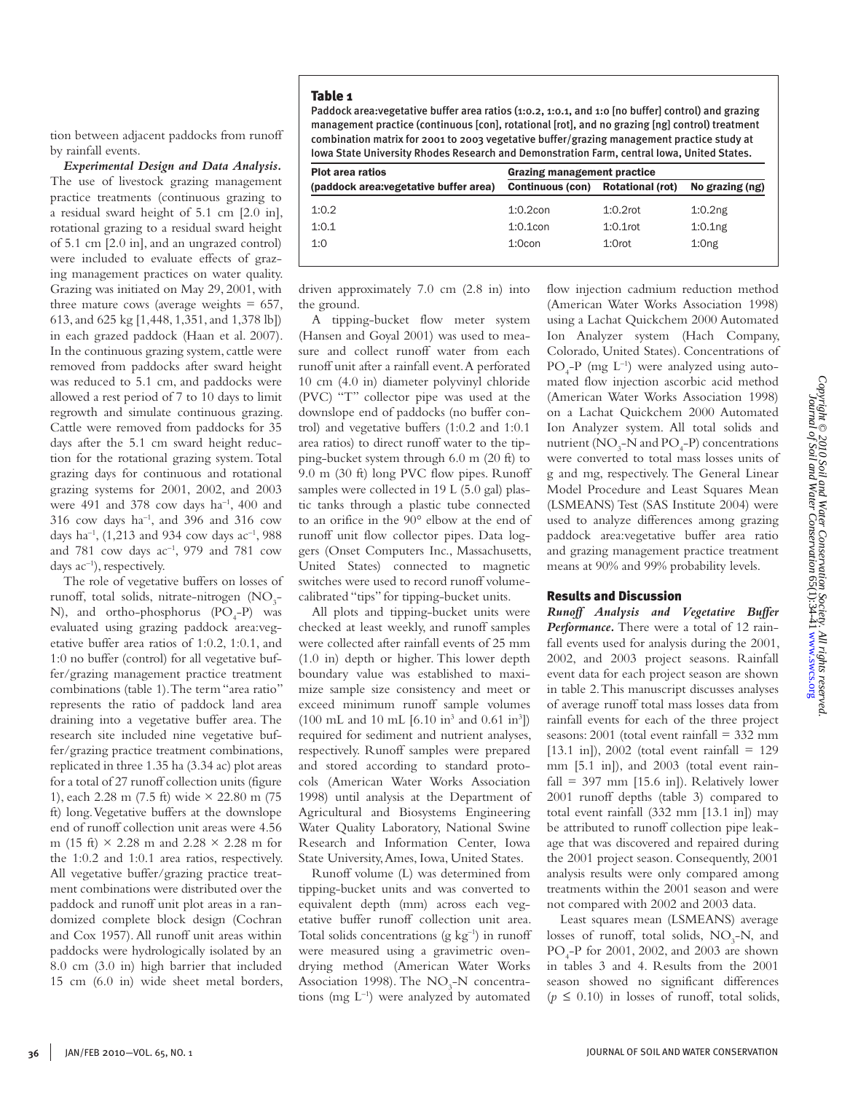## Table 1

Paddock area:vegetative buffer area ratios (1:0.2, 1:0.1, and 1:0 [no buffer] control) and grazing management practice (continuous [con], rotational [rot], and no grazing [ng] control) treatment combination matrix for 2001 to 2003 vegetative buffer/grazing management practice study at Iowa State University Rhodes Research and Demonstration Farm, central Iowa, United States.

| <b>Plot area ratios</b>                | Grazing management practice |                         |                     |  |  |
|----------------------------------------|-----------------------------|-------------------------|---------------------|--|--|
| (paddock area: vegetative buffer area) | <b>Continuous (con)</b>     | <b>Rotational (rot)</b> | No grazing (ng)     |  |  |
| 1:0.2                                  | $1:0.2$ con                 | $1:0.2$ rot             | 1:0.2 <sub>ng</sub> |  |  |
| 1:0.1                                  | $1:0.1$ con                 | $1:0.1$ rot             | 1:0.1 <sub>ng</sub> |  |  |
| 1:0                                    | $1:0$ con                   | $1:0$ rot               | 1:0 <sub>ng</sub>   |  |  |

driven approximately 7.0 cm (2.8 in) into the ground.

A tipping-bucket flow meter system (Hansen and Goyal 2001) was used to measure and collect runoff water from each runoff unit after a rainfall event. A perforated 10 cm (4.0 in) diameter polyvinyl chloride (PVC) "T" collector pipe was used at the downslope end of paddocks (no buffer control) and vegetative buffers (1:0.2 and 1:0.1 area ratios) to direct runoff water to the tipping-bucket system through 6.0 m (20 ft) to 9.0 m (30 ft) long PVC flow pipes. Runoff samples were collected in 19 L (5.0 gal) plastic tanks through a plastic tube connected to an orifice in the 90° elbow at the end of runoff unit flow collector pipes. Data loggers (Onset Computers Inc., Massachusetts, United States) connected to magnetic switches were used to record runoff volumecalibrated "tips" for tipping-bucket units.

All plots and tipping-bucket units were checked at least weekly, and runoff samples were collected after rainfall events of 25 mm (1.0 in) depth or higher. This lower depth boundary value was established to maximize sample size consistency and meet or exceed minimum runoff sample volumes  $(100 \text{ mL and } 10 \text{ mL } [6.10 \text{ in}^3 \text{ and } 0.61 \text{ in}^3])$ required for sediment and nutrient analyses, respectively. Runoff samples were prepared and stored according to standard protocols (American Water Works Association 1998) until analysis at the Department of Agricultural and Biosystems Engineering Water Quality Laboratory, National Swine Research and Information Center, Iowa State University, Ames, Iowa, United States.

Runoff volume (L) was determined from tipping-bucket units and was converted to equivalent depth (mm) across each vegetative buffer runoff collection unit area. Total solids concentrations  $(g \ kg^{-1})$  in runoff were measured using a gravimetric ovendrying method (American Water Works Association 1998). The  $NO<sub>3</sub>–N$  concentrations (mg  $L^{-1}$ ) were analyzed by automated

flow injection cadmium reduction method (American Water Works Association 1998) using a Lachat Quickchem 2000 Automated Ion Analyzer system (Hach Company, Colorado, United States). Concentrations of  $PO_{4}$ - $P$  (mg  $L^{-1}$ ) were analyzed using automated flow injection ascorbic acid method (American Water Works Association 1998) on a Lachat Quickchem 2000 Automated Ion Analyzer system. All total solids and nutrient  $(\text{NO}_3^- \text{N} \text{ and } \text{PO}_4^- \text{P})$  concentrations were converted to total mass losses units of g and mg, respectively. The General Linear Model Procedure and Least Squares Mean (LSMEANS) Test (SAS Institute 2004) were used to analyze differences among grazing paddock area:vegetative buffer area ratio and grazing management practice treatment means at 90% and 99% probability levels.

## Results and Discussion

*Runoff Analysis and Vegetative Buffer Performance.* There were a total of 12 rainfall events used for analysis during the 2001, 2002, and 2003 project seasons. Rainfall event data for each project season are shown in table 2. This manuscript discusses analyses of average runoff total mass losses data from rainfall events for each of the three project seasons: 2001 (total event rainfall = 332 mm [13.1 in]), 2002 (total event rainfall  $= 129$ mm [5.1 in]), and 2003 (total event rainfall = 397 mm [15.6 in]). Relatively lower 2001 runoff depths (table 3) compared to total event rainfall (332 mm [13.1 in]) may be attributed to runoff collection pipe leakage that was discovered and repaired during the 2001 project season. Consequently, 2001 analysis results were only compared among treatments within the 2001 season and were not compared with 2002 and 2003 data.

Least squares mean (LSMEANS) average losses of runoff, total solids,  $NO<sub>3</sub>-N$ , and PO4 -P for 2001, 2002, and 2003 are shown in tables 3 and 4. Results from the 2001 season showed no significant differences  $(p \le 0.10)$  in losses of runoff, total solids,

tion between adjacent paddocks from runoff by rainfall events.

*Experimental Design and Data Analysis.*  The use of livestock grazing management practice treatments (continuous grazing to a residual sward height of 5.1 cm [2.0 in], rotational grazing to a residual sward height of 5.1 cm [2.0 in], and an ungrazed control) were included to evaluate effects of grazing management practices on water quality. Grazing was initiated on May 29, 2001, with three mature cows (average weights  $= 657$ , 613, and 625 kg [1,448, 1,351, and 1,378 lb]) in each grazed paddock (Haan et al. 2007). In the continuous grazing system, cattle were removed from paddocks after sward height was reduced to 5.1 cm, and paddocks were allowed a rest period of 7 to 10 days to limit regrowth and simulate continuous grazing. Cattle were removed from paddocks for 35 days after the 5.1 cm sward height reduction for the rotational grazing system. Total grazing days for continuous and rotational grazing systems for 2001, 2002, and 2003 were 491 and 378 cow days  $ha^{-1}$ , 400 and  $316$  cow days ha<sup>-1</sup>, and  $396$  and  $316$  cow days ha<sup>-1</sup>, (1,213 and 934 cow days ac<sup>-1</sup>, 988 and 781 cow days ac–1, 979 and 781 cow days ac<sup>-1</sup>), respectively.

The role of vegetative buffers on losses of runoff, total solids, nitrate-nitrogen  $(NO_3^-)$ N), and ortho-phosphorus  $(PO<sub>4</sub>-P)$  was evaluated using grazing paddock area:vegetative buffer area ratios of 1:0.2, 1:0.1, and 1:0 no buffer (control) for all vegetative buffer/grazing management practice treatment combinations (table 1). The term "area ratio" represents the ratio of paddock land area draining into a vegetative buffer area. The research site included nine vegetative buffer/grazing practice treatment combinations, replicated in three 1.35 ha (3.34 ac) plot areas for a total of 27 runoff collection units (figure 1), each 2.28 m (7.5 ft) wide × 22.80 m (75 ft) long. Vegetative buffers at the downslope end of runoff collection unit areas were 4.56 m (15 ft) × 2.28 m and 2.28 × 2.28 m for the 1:0.2 and 1:0.1 area ratios, respectively. All vegetative buffer/grazing practice treatment combinations were distributed over the paddock and runoff unit plot areas in a randomized complete block design (Cochran and Cox 1957). All runoff unit areas within paddocks were hydrologically isolated by an 8.0 cm (3.0 in) high barrier that included 15 cm (6.0 in) wide sheet metal borders,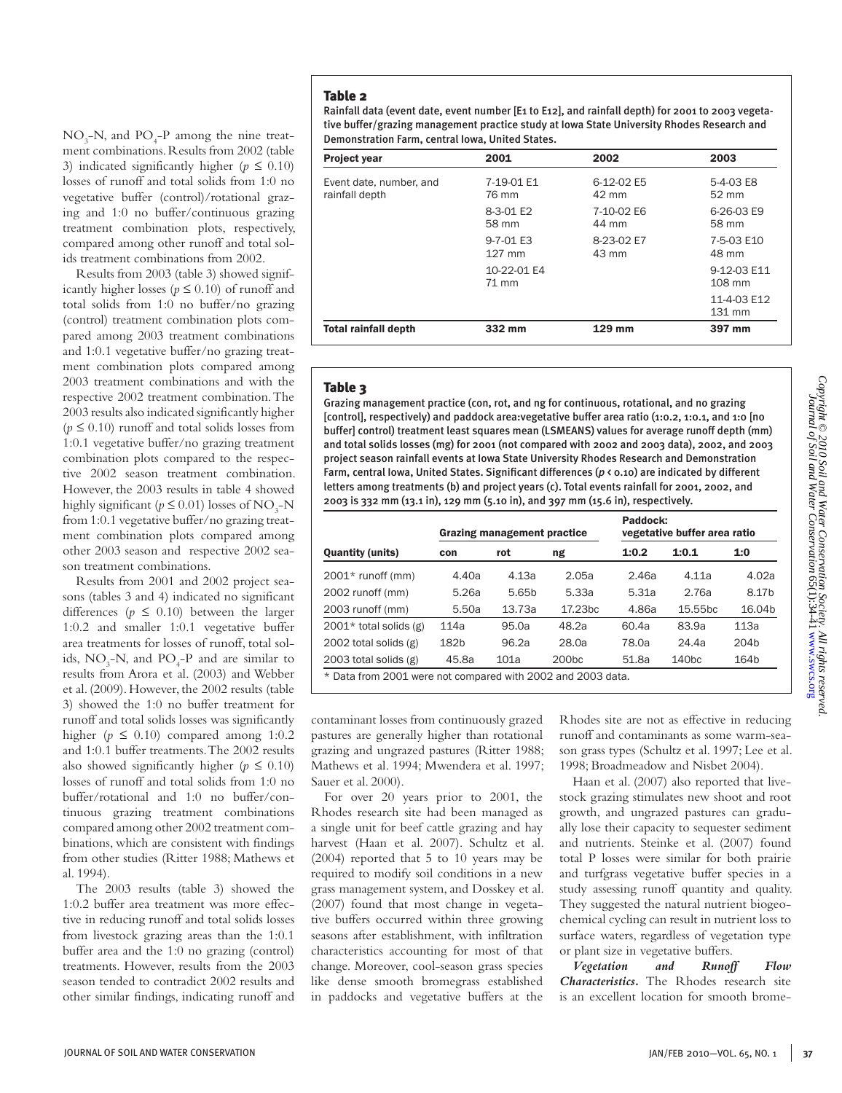Table 2

Rainfall data (event date, event number [E1 to E12], and rainfall depth) for 2001 to 2003 vegetative buffer/grazing management practice study at Iowa State University Rhodes Research and Demonstration Farm, central Iowa, United States.

| <b>Project year</b>                       | 2001                 | 2002                | 2003                  |
|-------------------------------------------|----------------------|---------------------|-----------------------|
| Event date, number, and<br>rainfall depth | 7-19-01 E1<br>76 mm  | 6-12-02 E5<br>42 mm | 5-4-03 E8<br>52 mm    |
|                                           | 8-3-01 E2<br>58 mm   | 7-10-02 E6<br>44 mm | 6-26-03 E9<br>58 mm   |
|                                           | 9-7-01 E3<br>127 mm  | 8-23-02 E7<br>43 mm | 7-5-03 E10<br>48 mm   |
|                                           | 10-22-01 E4<br>71 mm |                     | 9-12-03 E11<br>108 mm |
|                                           |                      |                     | 11-4-03 E12<br>131 mm |
| <b>Total rainfall depth</b>               | 332 mm               | 129 mm              | 397 mm                |

# Table 3

Grazing management practice (con, rot, and ng for continuous, rotational, and no grazing [control], respectively) and paddock area:vegetative buffer area ratio (1:0.2, 1:0.1, and 1:0 [no buffer] control) treatment least squares mean (LSMEANS) values for average runoff depth (mm) and total solids losses (mg) for 2001 (not compared with 2002 and 2003 data), 2002, and 2003 project season rainfall events at Iowa State University Rhodes Research and Demonstration Farm, central Iowa, United States. Significant differences (*p* < 0.10) are indicated by different letters among treatments (b) and project years (c). Total events rainfall for 2001, 2002, and 2003 is 332 mm (13.1 in), 129 mm (5.10 in), and 397 mm (15.6 in), respectively.

|                                                             | Grazing management practice |                   |                     | Paddock:<br>vegetative buffer area ratio |                     |                    |  |
|-------------------------------------------------------------|-----------------------------|-------------------|---------------------|------------------------------------------|---------------------|--------------------|--|
| <b>Quantity (units)</b>                                     | con                         | rot               | ng                  | 1:0.2                                    | 1:0.1               | 1:0                |  |
| $2001*$ runoff (mm)                                         | 4.40a                       | 4.13a             | 2.05a               | 2.46a                                    | 4.11a               | 4.02a              |  |
| 2002 runoff (mm)                                            | 5.26a                       | 5.65 <sub>b</sub> | 5.33a               | 5.31a                                    | 2.76a               | 8.17b              |  |
| 2003 runoff (mm)                                            | 5.50a                       | 13.73a            | 17.23 <sub>bc</sub> | 4.86a                                    | 15.55 <sub>bc</sub> | 16.04 <sub>b</sub> |  |
| $2001*$ total solids (g)                                    | 114a                        | 95.0a             | 48.2a               | 60.4a                                    | 83.9a               | 113a               |  |
| 2002 total solids $(g)$                                     | 182b                        | 96.2a             | 28.0a               | 78.0a                                    | 24.4a               | 204 <sub>b</sub>   |  |
| 2003 total solids $(g)$                                     | 45.8a                       | 101a              | 200 <sub>bc</sub>   | 51.8a                                    | 140 <sub>bc</sub>   | 164b               |  |
| * Data from 2001 were not compared with 2002 and 2003 data. |                             |                   |                     |                                          |                     |                    |  |

contaminant losses from continuously grazed pastures are generally higher than rotational grazing and ungrazed pastures (Ritter 1988; Mathews et al. 1994; Mwendera et al. 1997; Sauer et al. 2000).

For over 20 years prior to 2001, the Rhodes research site had been managed as a single unit for beef cattle grazing and hay harvest (Haan et al. 2007). Schultz et al. (2004) reported that 5 to 10 years may be required to modify soil conditions in a new grass management system, and Dosskey et al. (2007) found that most change in vegetative buffers occurred within three growing seasons after establishment, with infiltration characteristics accounting for most of that change. Moreover, cool-season grass species like dense smooth bromegrass established in paddocks and vegetative buffers at the

Rhodes site are not as effective in reducing runoff and contaminants as some warm-season grass types (Schultz et al. 1997; Lee et al. 1998; Broadmeadow and Nisbet 2004).

Haan et al. (2007) also reported that livestock grazing stimulates new shoot and root growth, and ungrazed pastures can gradually lose their capacity to sequester sediment and nutrients. Steinke et al. (2007) found total P losses were similar for both prairie and turfgrass vegetative buffer species in a study assessing runoff quantity and quality. They suggested the natural nutrient biogeochemical cycling can result in nutrient loss to surface waters, regardless of vegetation type or plant size in vegetative buffers.

*Vegetation and Runoff Flow Characteristics.* The Rhodes research site is an excellent location for smooth brome-

 $NO_3$ -N, and  $PO_4$ -P among the nine treatment combinations. Results from 2002 (table 3) indicated significantly higher ( $p \leq 0.10$ ) losses of runoff and total solids from 1:0 no vegetative buffer (control)/rotational grazing and 1:0 no buffer/continuous grazing treatment combination plots, respectively, compared among other runoff and total solids treatment combinations from 2002.

Results from 2003 (table 3) showed significantly higher losses ( $p \leq 0.10$ ) of runoff and total solids from 1:0 no buffer/no grazing (control) treatment combination plots compared among 2003 treatment combinations and 1:0.1 vegetative buffer/no grazing treatment combination plots compared among 2003 treatment combinations and with the respective 2002 treatment combination. The 2003 results also indicated significantly higher  $(p \le 0.10)$  runoff and total solids losses from 1:0.1 vegetative buffer/no grazing treatment combination plots compared to the respective 2002 season treatment combination. However, the 2003 results in table 4 showed highly significant ( $p \le 0.01$ ) losses of NO<sub>3</sub>-N from 1:0.1 vegetative buffer/no grazing treatment combination plots compared among other 2003 season and respective 2002 season treatment combinations.

Results from 2001 and 2002 project seasons (tables 3 and 4) indicated no significant differences ( $p \leq 0.10$ ) between the larger 1:0.2 and smaller 1:0.1 vegetative buffer area treatments for losses of runoff, total solids,  $NO_3$ -N, and  $PO_4$ -P and are similar to results from Arora et al. (2003) and Webber et al. (2009). However, the 2002 results (table 3) showed the 1:0 no buffer treatment for runoff and total solids losses was significantly higher ( $p \leq 0.10$ ) compared among 1:0.2 and 1:0.1 buffer treatments. The 2002 results also showed significantly higher ( $p \leq 0.10$ ) losses of runoff and total solids from 1:0 no buffer/rotational and 1:0 no buffer/continuous grazing treatment combinations compared among other 2002 treatment combinations, which are consistent with findings from other studies (Ritter 1988; Mathews et al. 1994).

The 2003 results (table 3) showed the 1:0.2 buffer area treatment was more effective in reducing runoff and total solids losses from livestock grazing areas than the 1:0.1 buffer area and the 1:0 no grazing (control) treatments. However, results from the 2003 season tended to contradict 2002 results and other similar findings, indicating runoff and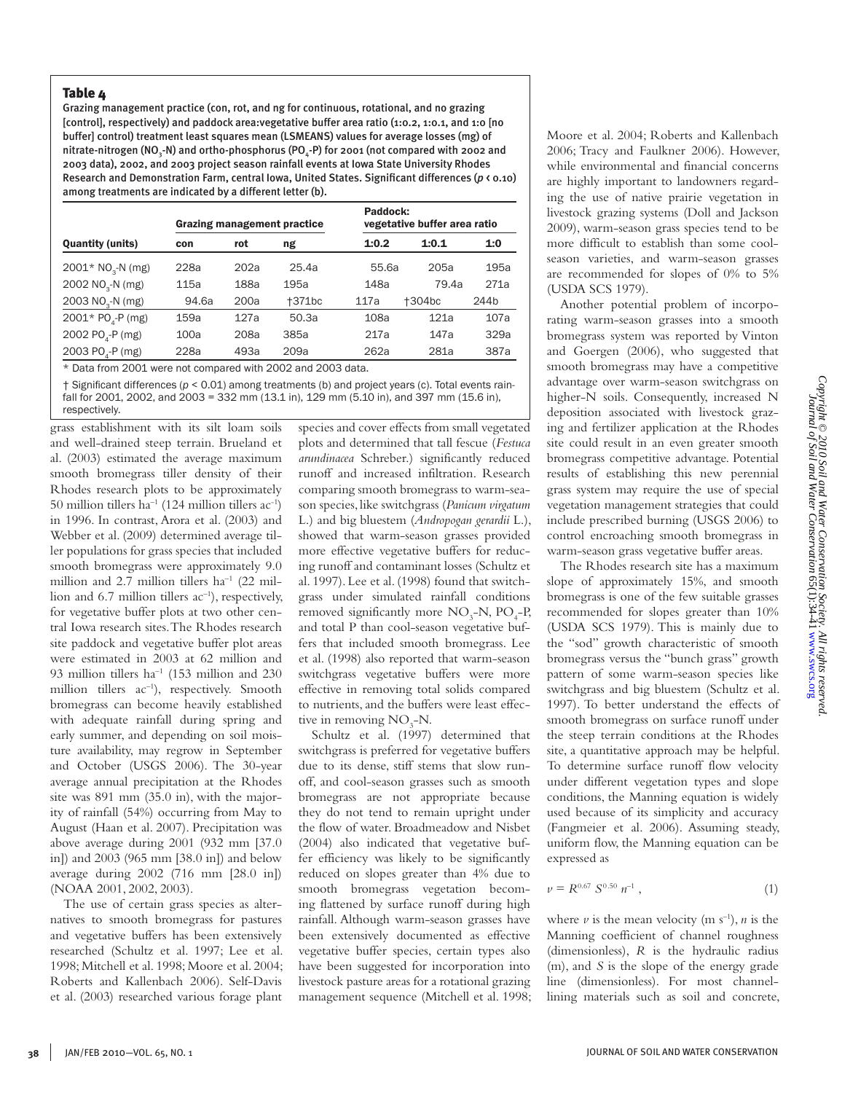## Table 4

Grazing management practice (con, rot, and ng for continuous, rotational, and no grazing [control], respectively) and paddock area:vegetative buffer area ratio (1:0.2, 1:0.1, and 1:0 [no buffer] control) treatment least squares mean (LSMEANS) values for average losses (mg) of nitrate-nitrogen (NO<sub>3</sub>-N) and ortho-phosphorus (PO<sub>4</sub>-P) for 2001 (not compared with 2002 and 2003 data), 2002, and 2003 project season rainfall events at Iowa State University Rhodes Research and Demonstration Farm, central Iowa, United States. Significant differences (*p* < 0.10) among treatments are indicated by a different letter (b).

|                               | <b>Grazing management practice</b> |      |        | Paddock:<br>vegetative buffer area ratio |        |      |
|-------------------------------|------------------------------------|------|--------|------------------------------------------|--------|------|
| <b>Quantity (units)</b>       | con                                | rot  | ng     | 1:0.2                                    | 1:0.1  | 1:0  |
| 2001* NO <sub>2</sub> -N (mg) | 228a                               | 202a | 25.4a  | 55.6a                                    | 205a   | 195a |
| 2002 NO <sub>3</sub> -N (mg)  | 115a                               | 188a | 195a   | 148a                                     | 79.4a  | 271a |
| 2003 NO <sub>3</sub> -N (mg)  | 94.6a                              | 200a | +371bc | 117a                                     | +304bc | 244b |
| 2001* PO <sub>2</sub> -P (mg) | 159a                               | 127a | 50.3a  | 108a                                     | 121a   | 107a |
| 2002 PO <sub>3</sub> -P (mg)  | 100a                               | 208a | 385a   | 217a                                     | 147a   | 329a |
| 2003 PO <sub>4</sub> -P (mg)  | 228a                               | 493a | 209a   | 262a                                     | 281a   | 387a |

\* Data from 2001 were not compared with 2002 and 2003 data.

† Significant differences (*p* < 0.01) among treatments (b) and project years (c). Total events rainfall for 2001, 2002, and 2003 = 332 mm (13.1 in), 129 mm (5.10 in), and 397 mm (15.6 in), respectively.

grass establishment with its silt loam soils and well-drained steep terrain. Brueland et al. (2003) estimated the average maximum smooth bromegrass tiller density of their Rhodes research plots to be approximately 50 million tillers ha<sup>-1</sup> (124 million tillers ac<sup>-1</sup>) in 1996. In contrast, Arora et al. (2003) and Webber et al. (2009) determined average tiller populations for grass species that included smooth bromegrass were approximately 9.0 million and 2.7 million tillers  $ha^{-1}$  (22 million and 6.7 million tillers  $ac^{-1}$ ), respectively, for vegetative buffer plots at two other central Iowa research sites. The Rhodes research site paddock and vegetative buffer plot areas were estimated in 2003 at 62 million and 93 million tillers ha–1 (153 million and 230 million tillers ac<sup>-1</sup>), respectively. Smooth bromegrass can become heavily established with adequate rainfall during spring and early summer, and depending on soil moisture availability, may regrow in September and October (USGS 2006). The 30-year average annual precipitation at the Rhodes site was 891 mm (35.0 in), with the majority of rainfall (54%) occurring from May to August (Haan et al. 2007). Precipitation was above average during 2001 (932 mm [37.0 in]) and 2003 (965 mm [38.0 in]) and below average during 2002 (716 mm [28.0 in]) (NOAA 2001, 2002, 2003).

The use of certain grass species as alternatives to smooth bromegrass for pastures and vegetative buffers has been extensively researched (Schultz et al. 1997; Lee et al. 1998; Mitchell et al. 1998; Moore et al. 2004; Roberts and Kallenbach 2006). Self-Davis et al. (2003) researched various forage plant

species and cover effects from small vegetated plots and determined that tall fescue (*Festuca arundinacea* Schreber.) significantly reduced runoff and increased infiltration. Research comparing smooth bromegrass to warm-season species, like switchgrass (*Panicum virgatum* L.) and big bluestem (*Andropogan gerardii* L.), showed that warm-season grasses provided more effective vegetative buffers for reducing runoff and contaminant losses (Schultz et al. 1997). Lee et al. (1998) found that switchgrass under simulated rainfall conditions removed significantly more  $NO_3$ -N,  $PO_4$ -P, and total P than cool-season vegetative buffers that included smooth bromegrass. Lee et al. (1998) also reported that warm-season switchgrass vegetative buffers were more effective in removing total solids compared to nutrients, and the buffers were least effective in removing  $NO<sub>3</sub>-N$ .

Schultz et al. (1997) determined that switchgrass is preferred for vegetative buffers due to its dense, stiff stems that slow runoff, and cool-season grasses such as smooth bromegrass are not appropriate because they do not tend to remain upright under the flow of water. Broadmeadow and Nisbet (2004) also indicated that vegetative buffer efficiency was likely to be significantly reduced on slopes greater than 4% due to smooth bromegrass vegetation becoming flattened by surface runoff during high rainfall. Although warm-season grasses have been extensively documented as effective vegetative buffer species, certain types also have been suggested for incorporation into livestock pasture areas for a rotational grazing management sequence (Mitchell et al. 1998; Moore et al. 2004; Roberts and Kallenbach 2006; Tracy and Faulkner 2006). However, while environmental and financial concerns are highly important to landowners regarding the use of native prairie vegetation in livestock grazing systems (Doll and Jackson 2009), warm-season grass species tend to be more difficult to establish than some coolseason varieties, and warm-season grasses are recommended for slopes of 0% to 5% (USDA SCS 1979).

Another potential problem of incorporating warm-season grasses into a smooth bromegrass system was reported by Vinton and Goergen (2006), who suggested that smooth bromegrass may have a competitive advantage over warm-season switchgrass on higher-N soils. Consequently, increased N deposition associated with livestock grazing and fertilizer application at the Rhodes site could result in an even greater smooth bromegrass competitive advantage. Potential results of establishing this new perennial grass system may require the use of special vegetation management strategies that could include prescribed burning (USGS 2006) to control encroaching smooth bromegrass in warm-season grass vegetative buffer areas.

The Rhodes research site has a maximum slope of approximately 15%, and smooth bromegrass is one of the few suitable grasses recommended for slopes greater than 10% (USDA SCS 1979). This is mainly due to the "sod" growth characteristic of smooth bromegrass versus the "bunch grass" growth pattern of some warm-season species like switchgrass and big bluestem (Schultz et al. 1997). To better understand the effects of smooth bromegrass on surface runoff under the steep terrain conditions at the Rhodes site, a quantitative approach may be helpful. To determine surface runoff flow velocity under different vegetation types and slope conditions, the Manning equation is widely used because of its simplicity and accuracy (Fangmeier et al. 2006). Assuming steady, uniform flow, the Manning equation can be expressed as

$$
\nu = R^{0.67} S^{0.50} n^{-1}, \qquad (1)
$$

where  $\nu$  is the mean velocity (m s<sup>-1</sup>), *n* is the Manning coefficient of channel roughness (dimensionless), *R* is the hydraulic radius (m), and *S* is the slope of the energy grade line (dimensionless). For most channellining materials such as soil and concrete,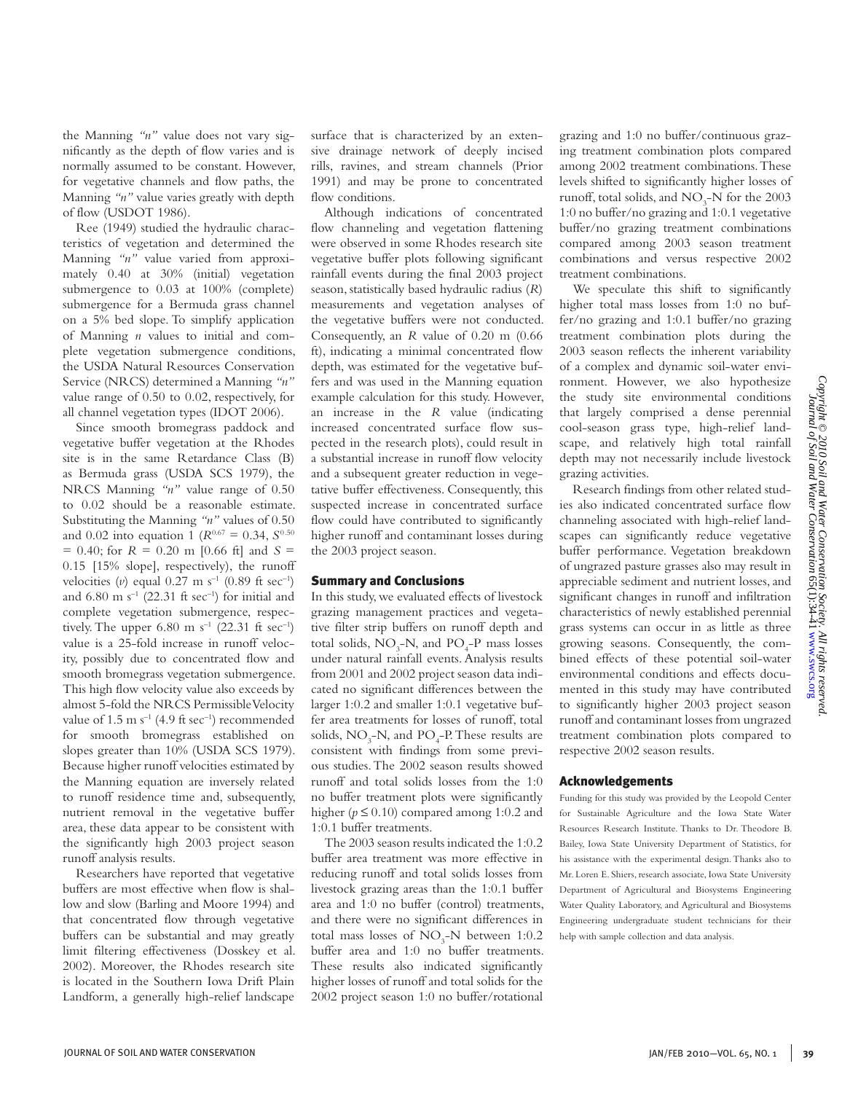the Manning *"n"* value does not vary significantly as the depth of flow varies and is normally assumed to be constant. However, for vegetative channels and flow paths, the Manning *"n"* value varies greatly with depth of flow (USDOT 1986).

Ree (1949) studied the hydraulic characteristics of vegetation and determined the Manning *"n"* value varied from approximately 0.40 at 30% (initial) vegetation submergence to 0.03 at 100% (complete) submergence for a Bermuda grass channel on a 5% bed slope. To simplify application of Manning *n* values to initial and complete vegetation submergence conditions, the USDA Natural Resources Conservation Service (NRCS) determined a Manning *"n"* value range of 0.50 to 0.02, respectively, for all channel vegetation types (IDOT 2006).

Since smooth bromegrass paddock and vegetative buffer vegetation at the Rhodes site is in the same Retardance Class (B) as Bermuda grass (USDA SCS 1979), the NRCS Manning *"n"* value range of 0.50 to 0.02 should be a reasonable estimate. Substituting the Manning *"n"* values of 0.50 and 0.02 into equation 1 ( $R^{0.67} = 0.34$ ,  $S^{0.50}$ )  $= 0.40$ ; for  $R = 0.20$  m [0.66 ft] and  $S =$ 0.15 [15% slope], respectively), the runoff velocities (*v*) equal  $0.27 \text{ m s}^{-1}$  (0.89 ft sec<sup>-1</sup>) and  $6.80 \text{ m s}^{-1}$  (22.31 ft sec<sup>-1</sup>) for initial and complete vegetation submergence, respectively. The upper 6.80 m s<sup>-1</sup> (22.31 ft sec<sup>-1</sup>) value is a 25-fold increase in runoff velocity, possibly due to concentrated flow and smooth bromegrass vegetation submergence. This high flow velocity value also exceeds by almost 5-fold the NRCS Permissible Velocity value of  $1.5 \text{ m s}^{-1}$  (4.9 ft sec<sup>-1</sup>) recommended for smooth bromegrass established on slopes greater than 10% (USDA SCS 1979). Because higher runoff velocities estimated by the Manning equation are inversely related to runoff residence time and, subsequently, nutrient removal in the vegetative buffer area, these data appear to be consistent with the significantly high 2003 project season runoff analysis results.

Researchers have reported that vegetative buffers are most effective when flow is shallow and slow (Barling and Moore 1994) and that concentrated flow through vegetative buffers can be substantial and may greatly limit filtering effectiveness (Dosskey et al. 2002). Moreover, the Rhodes research site is located in the Southern Iowa Drift Plain Landform, a generally high-relief landscape

surface that is characterized by an extensive drainage network of deeply incised rills, ravines, and stream channels (Prior 1991) and may be prone to concentrated flow conditions.

Although indications of concentrated flow channeling and vegetation flattening were observed in some Rhodes research site vegetative buffer plots following significant rainfall events during the final 2003 project season, statistically based hydraulic radius (*R*) measurements and vegetation analyses of the vegetative buffers were not conducted. Consequently, an *R* value of 0.20 m (0.66 ft), indicating a minimal concentrated flow depth, was estimated for the vegetative buffers and was used in the Manning equation example calculation for this study. However, an increase in the *R* value (indicating increased concentrated surface flow suspected in the research plots), could result in a substantial increase in runoff flow velocity and a subsequent greater reduction in vegetative buffer effectiveness. Consequently, this suspected increase in concentrated surface flow could have contributed to significantly higher runoff and contaminant losses during the 2003 project season.

## Summary and Conclusions

In this study, we evaluated effects of livestock grazing management practices and vegetative filter strip buffers on runoff depth and total solids,  $NO_3$ -N, and  $PO_4$ -P mass losses under natural rainfall events. Analysis results from 2001 and 2002 project season data indicated no significant differences between the larger 1:0.2 and smaller 1:0.1 vegetative buffer area treatments for losses of runoff, total solids,  $NO_3$ -N, and  $PO_4$ -P. These results are consistent with findings from some previous studies. The 2002 season results showed runoff and total solids losses from the 1:0 no buffer treatment plots were significantly higher ( $p \le 0.10$ ) compared among 1:0.2 and 1:0.1 buffer treatments.

The 2003 season results indicated the 1:0.2 buffer area treatment was more effective in reducing runoff and total solids losses from livestock grazing areas than the 1:0.1 buffer area and 1:0 no buffer (control) treatments, and there were no significant differences in total mass losses of  $NO<sub>3</sub>$ -N between 1:0.2 buffer area and 1:0 no buffer treatments. These results also indicated significantly higher losses of runoff and total solids for the 2002 project season 1:0 no buffer/rotational

grazing and 1:0 no buffer/continuous grazing treatment combination plots compared among 2002 treatment combinations. These levels shifted to significantly higher losses of runoff, total solids, and  $NO<sub>3</sub>-N$  for the 2003 1:0 no buffer/no grazing and 1:0.1 vegetative buffer/no grazing treatment combinations compared among 2003 season treatment combinations and versus respective 2002 treatment combinations.

We speculate this shift to significantly higher total mass losses from 1:0 no buffer/no grazing and 1:0.1 buffer/no grazing treatment combination plots during the 2003 season reflects the inherent variability of a complex and dynamic soil-water environment. However, we also hypothesize the study site environmental conditions that largely comprised a dense perennial cool-season grass type, high-relief landscape, and relatively high total rainfall depth may not necessarily include livestock grazing activities.

Research findings from other related studies also indicated concentrated surface flow channeling associated with high-relief landscapes can significantly reduce vegetative buffer performance. Vegetation breakdown of ungrazed pasture grasses also may result in appreciable sediment and nutrient losses, and significant changes in runoff and infiltration characteristics of newly established perennial grass systems can occur in as little as three growing seasons. Consequently, the combined effects of these potential soil-water environmental conditions and effects documented in this study may have contributed to significantly higher 2003 project season runoff and contaminant losses from ungrazed treatment combination plots compared to respective 2002 season results.

## Acknowledgements

Funding for this study was provided by the Leopold Center for Sustainable Agriculture and the Iowa State Water Resources Research Institute. Thanks to Dr. Theodore B. Bailey, Iowa State University Department of Statistics, for his assistance with the experimental design. Thanks also to Mr. Loren E. Shiers, research associate, Iowa State University Department of Agricultural and Biosystems Engineering Water Quality Laboratory, and Agricultural and Biosystems Engineering undergraduate student technicians for their help with sample collection and data analysis.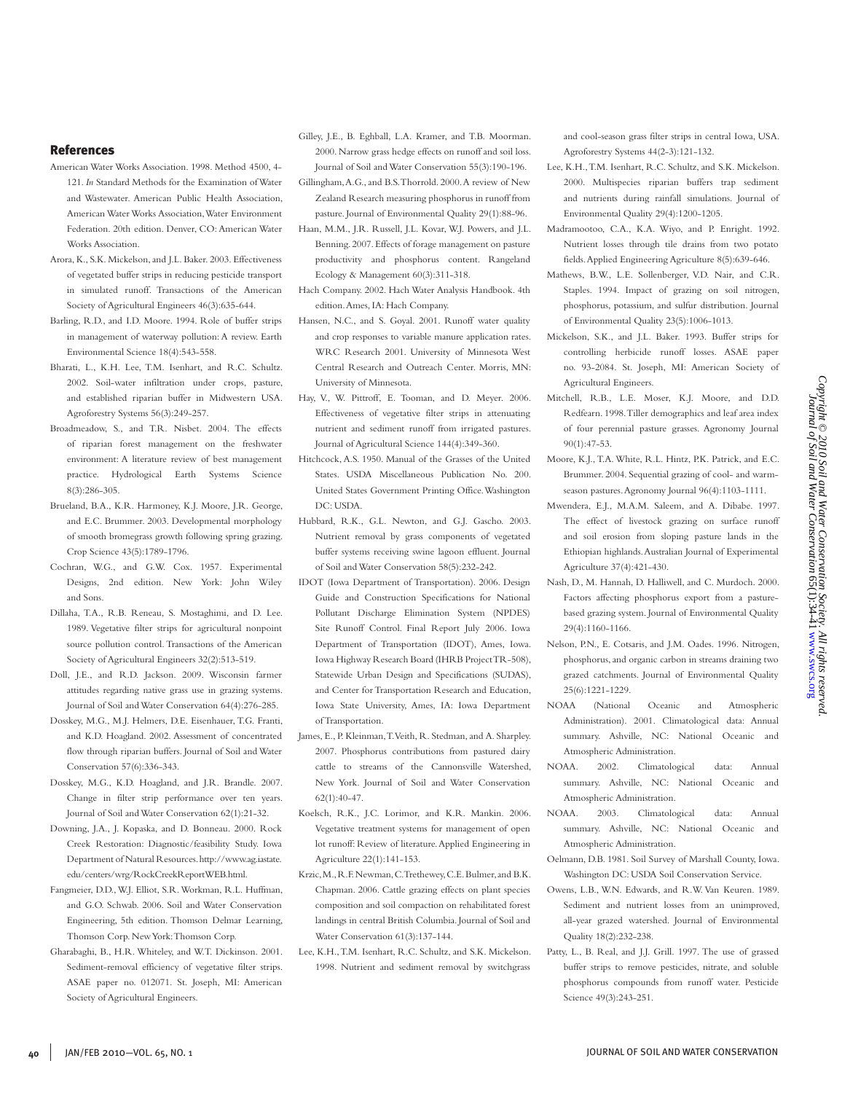#### References

- American Water Works Association. 1998. Method 4500, 4- 121. *In* Standard Methods for the Examination of Water and Wastewater. American Public Health Association, American Water Works Association, Water Environment Federation. 20th edition. Denver, CO: American Water Works Association.
- Arora, K., S.K. Mickelson, and J.L. Baker. 2003. Effectiveness of vegetated buffer strips in reducing pesticide transport in simulated runoff. Transactions of the American Society of Agricultural Engineers 46(3):635-644.
- Barling, R.D., and I.D. Moore. 1994. Role of buffer strips in management of waterway pollution: A review. Earth Environmental Science 18(4):543-558.
- Bharati, L., K.H. Lee, T.M. Isenhart, and R.C. Schultz. 2002. Soil-water infiltration under crops, pasture, and established riparian buffer in Midwestern USA. Agroforestry Systems 56(3):249-257.
- Broadmeadow, S., and T.R. Nisbet. 2004. The effects of riparian forest management on the freshwater environment: A literature review of best management practice. Hydrological Earth Systems Science 8(3):286-305.
- Brueland, B.A., K.R. Harmoney, K.J. Moore, J.R. George, and E.C. Brummer. 2003. Developmental morphology of smooth bromegrass growth following spring grazing. Crop Science 43(5):1789-1796.
- Cochran, W.G., and G.W. Cox. 1957. Experimental Designs, 2nd edition. New York: John Wiley and Sons.
- Dillaha, T.A., R.B. Reneau, S. Mostaghimi, and D. Lee. 1989. Vegetative filter strips for agricultural nonpoint source pollution control. Transactions of the American Society of Agricultural Engineers 32(2):513-519.
- Doll, J.E., and R.D. Jackson. 2009. Wisconsin farmer attitudes regarding native grass use in grazing systems. Journal of Soil and Water Conservation 64(4):276-285.
- Dosskey, M.G., M.J. Helmers, D.E. Eisenhauer, T.G. Franti, and K.D. Hoagland. 2002. Assessment of concentrated flow through riparian buffers. Journal of Soil and Water Conservation 57(6):336-343.
- Dosskey, M.G., K.D. Hoagland, and J.R. Brandle. 2007. Change in filter strip performance over ten years. Journal of Soil and Water Conservation 62(1):21-32.
- Downing, J.A., J. Kopaska, and D. Bonneau. 2000. Rock Creek Restoration: Diagnostic/feasibility Study. Iowa Department of Natural Resources. http://www.ag.iastate. edu/centers/wrg/RockCreekReportWEB.html.
- Fangmeier, D.D., W.J. Elliot, S.R. Workman, R.L. Huffman, and G.O. Schwab. 2006. Soil and Water Conservation Engineering, 5th edition. Thomson Delmar Learning, Thomson Corp. New York: Thomson Corp.
- Gharabaghi, B., H.R. Whiteley, and W.T. Dickinson. 2001. Sediment-removal efficiency of vegetative filter strips. ASAE paper no. 012071. St. Joseph, MI: American Society of Agricultural Engineers.

Gilley, J.E., B. Eghball, L.A. Kramer, and T.B. Moorman. 2000. Narrow grass hedge effects on runoff and soil loss. Journal of Soil and Water Conservation 55(3):190-196.

- Gillingham, A.G., and B.S. Thorrold. 2000. A review of New Zealand Research measuring phosphorus in runoff from pasture. Journal of Environmental Quality 29(1):88-96.
- Haan, M.M., J.R. Russell, J.L. Kovar, W.J. Powers, and J.L. Benning. 2007. Effects of forage management on pasture productivity and phosphorus content. Rangeland Ecology & Management 60(3):311-318.
- Hach Company. 2002. Hach Water Analysis Handbook. 4th edition. Ames, IA: Hach Company.
- Hansen, N.C., and S. Goyal. 2001. Runoff water quality and crop responses to variable manure application rates. WRC Research 2001. University of Minnesota West Central Research and Outreach Center. Morris, MN: University of Minnesota.
- Hay, V., W. Pittroff, E. Tooman, and D. Meyer. 2006. Effectiveness of vegetative filter strips in attenuating nutrient and sediment runoff from irrigated pastures. Journal of Agricultural Science 144(4):349-360.
- Hitchcock, A.S. 1950. Manual of the Grasses of the United States. USDA Miscellaneous Publication No. 200. United States Government Printing Office. Washington DC: USDA.
- Hubbard, R.K., G.L. Newton, and G.J. Gascho. 2003. Nutrient removal by grass components of vegetated buffer systems receiving swine lagoon effluent. Journal of Soil and Water Conservation 58(5):232-242.
- IDOT (Iowa Department of Transportation). 2006. Design Guide and Construction Specifications for National Pollutant Discharge Elimination System (NPDES) Site Runoff Control. Final Report July 2006. Iowa Department of Transportation (IDOT), Ames, Iowa. Iowa Highway Research Board (IHRB Project TR-508), Statewide Urban Design and Specifications (SUDAS), and Center for Transportation Research and Education, Iowa State University, Ames, IA: Iowa Department of Transportation.
- James, E., P. Kleinman, T. Veith, R. Stedman, and A. Sharpley. 2007. Phosphorus contributions from pastured dairy cattle to streams of the Cannonsville Watershed, New York. Journal of Soil and Water Conservation 62(1):40-47.
- Koelsch, R.K., J.C. Lorimor, and K.R. Mankin. 2006. Vegetative treatment systems for management of open lot runoff: Review of literature. Applied Engineering in Agriculture 22(1):141-153.
- Krzic, M., R.F. Newman, C. Trethewey, C.E. Bulmer, and B.K. Chapman. 2006. Cattle grazing effects on plant species composition and soil compaction on rehabilitated forest landings in central British Columbia. Journal of Soil and Water Conservation 61(3):137-144.
- Lee, K.H., T.M. Isenhart, R.C. Schultz, and S.K. Mickelson. 1998. Nutrient and sediment removal by switchgrass

and cool-season grass filter strips in central Iowa, USA. Agroforestry Systems 44(2-3):121-132.

- Lee, K.H., T.M. Isenhart, R.C. Schultz, and S.K. Mickelson. 2000. Multispecies riparian buffers trap sediment and nutrients during rainfall simulations. Journal of Environmental Quality 29(4):1200-1205.
- Madramootoo, C.A., K.A. Wiyo, and P. Enright. 1992. Nutrient losses through tile drains from two potato fields. Applied Engineering Agriculture 8(5):639-646.
- Mathews, B.W., L.E. Sollenberger, V.D. Nair, and C.R. Staples. 1994. Impact of grazing on soil nitrogen, phosphorus, potassium, and sulfur distribution. Journal of Environmental Quality 23(5):1006-1013.
- Mickelson, S.K., and J.L. Baker. 1993. Buffer strips for controlling herbicide runoff losses. ASAE paper no. 93-2084. St. Joseph, MI: American Society of Agricultural Engineers.
- Mitchell, R.B., L.E. Moser, K.J. Moore, and D.D. Redfearn. 1998. Tiller demographics and leaf area index of four perennial pasture grasses. Agronomy Journal 90(1):47-53.
- Moore, K.J., T.A. White, R.L. Hintz, P.K. Patrick, and E.C. Brummer. 2004. Sequential grazing of cool- and warmseason pastures. Agronomy Journal 96(4):1103-1111.
- Mwendera, E.J., M.A.M. Saleem, and A. Dibabe. 1997. The effect of livestock grazing on surface runoff and soil erosion from sloping pasture lands in the Ethiopian highlands. Australian Journal of Experimental Agriculture 37(4):421-430.
- Nash, D., M. Hannah, D. Halliwell, and C. Murdoch. 2000. Factors affecting phosphorus export from a pasturebased grazing system. Journal of Environmental Quality 29(4):1160-1166.
- Nelson, P.N., E. Cotsaris, and J.M. Oades. 1996. Nitrogen, phosphorus, and organic carbon in streams draining two grazed catchments. Journal of Environmental Quality 25(6):1221-1229.
- NOAA (National Oceanic and Atmospheric Administration). 2001. Climatological data: Annual summary. Ashville, NC: National Oceanic and Atmospheric Administration.
- NOAA. 2002. Climatological data: Annual summary. Ashville, NC: National Oceanic and Atmospheric Administration.
- NOAA. 2003. Climatological data: Annual summary. Ashville, NC: National Oceanic and Atmospheric Administration.
- Oelmann, D.B. 1981. Soil Survey of Marshall County, Iowa. Washington DC: USDA Soil Conservation Service.
- Owens, L.B., W.N. Edwards, and R.W. Van Keuren. 1989. Sediment and nutrient losses from an unimproved, all-year grazed watershed. Journal of Environmental Quality 18(2):232-238.
- Patty, L., B. Real, and J.J. Grill. 1997. The use of grassed buffer strips to remove pesticides, nitrate, and soluble phosphorus compounds from runoff water. Pesticide Science 49(3):243-251.